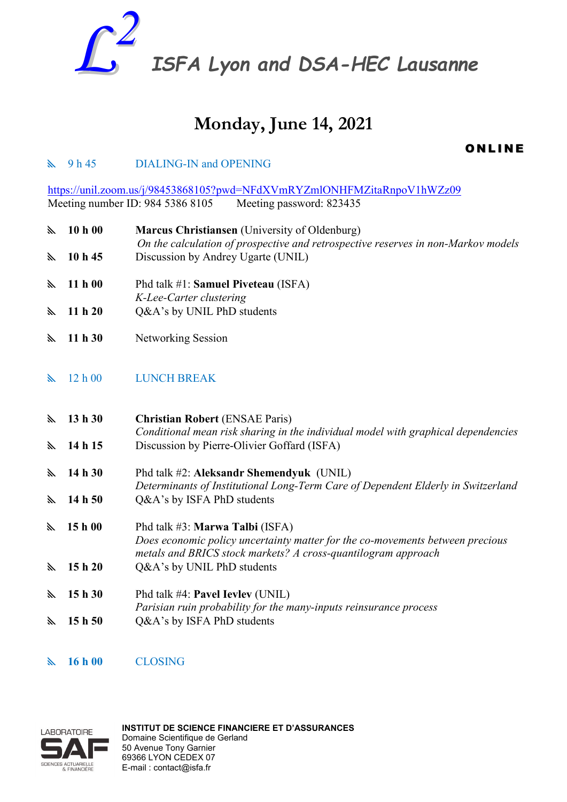

# **Monday, June 14, 2021**

**ONLINE** 

# $\mathbb{R}$  9 h 45 DIALING-IN and OPENING

<https://unil.zoom.us/j/98453868105?pwd=NFdXVmRYZmlONHFMZitaRnpoV1hWZz09> Meeting number ID: 984 5386 8105 Meeting password: 823435

 **10 h 00 Marcus Christiansen** (University of Oldenburg) *On the calculation of prospective and retrospective reserves in non-Markov models*  **10 h 45** Discussion by Andrey Ugarte (UNIL)

- **11 h 00** Phd talk #1: **Samuel Piveteau** (ISFA) *K-Lee-Carter clustering*
- **11 h 20** Q&A's by UNIL PhD students
- **11 h 30** Networking Session
- 12 h 00 LUNCH BREAK

 **13 h 30 Christian Robert** (ENSAE Paris) *Conditional mean risk sharing in the individual model with graphical dependencies* **14 h 15** Discussion by Pierre-Olivier Goffard (ISFA)

- **14 h 30** Phd talk #2: **Aleksandr Shemendyuk** (UNIL) *Determinants of Institutional Long-Term Care of Dependent Elderly in Switzerland* **14 h 50** Q&A's by ISFA PhD students
- **15 h 00** Phd talk #3: **Marwa Talbi** (ISFA) *Does economic policy uncertainty matter for the co-movements between precious metals and BRICS stock markets? A cross-quantilogram approach* **15 h 20** Q&A's by UNIL PhD students
- **15 h 30** Phd talk #4: **Pavel Ievlev** (UNIL) *Parisian ruin probability for the many-inputs reinsurance process* **15 h 50** Q&A's by ISFA PhD students
- **16 h 00** CLOSING



**INSTITUT DE SCIENCE FINANCIERE ET D'ASSURANCES**  Domaine Scientifique de Gerland 50 Avenue Tony Garnier 69366 LYON CEDEX 07 E-mail : contact@isfa.fr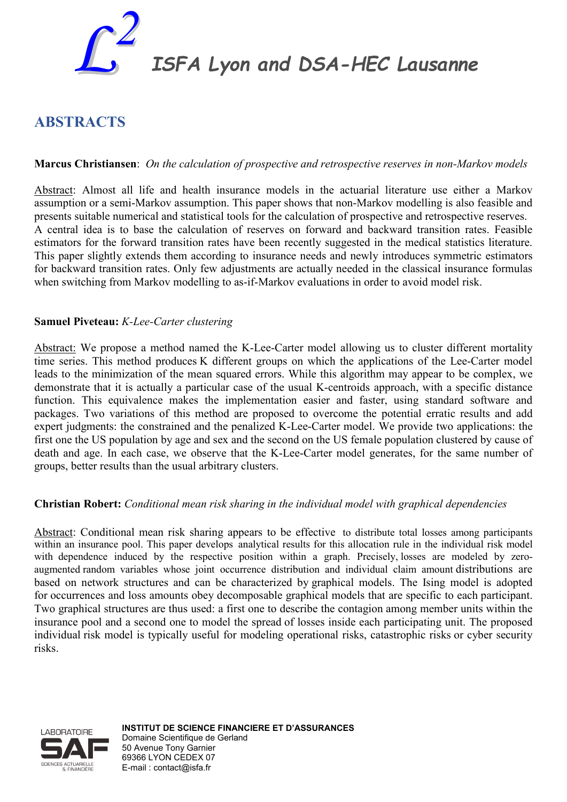

*ISFA Lyon and DSA-HEC Lausanne*

# **ABSTRACTS**

# **Marcus Christiansen**:*On the calculation of prospective and retrospective reserves in non-Markov models*

Abstract: Almost all life and health insurance models in the actuarial literature use either a Markov assumption or a semi-Markov assumption. This paper shows that non-Markov modelling is also feasible and presents suitable numerical and statistical tools for the calculation of prospective and retrospective reserves. A central idea is to base the calculation of reserves on forward and backward transition rates. Feasible estimators for the forward transition rates have been recently suggested in the medical statistics literature. This paper slightly extends them according to insurance needs and newly introduces symmetric estimators for backward transition rates. Only few adjustments are actually needed in the classical insurance formulas when switching from Markov modelling to as-if-Markov evaluations in order to avoid model risk.

#### **Samuel Piveteau:** *K-Lee-Carter clustering*

Abstract: We propose a method named the K-Lee-Carter model allowing us to cluster different mortality time series. This method produces K different groups on which the applications of the Lee-Carter model leads to the minimization of the mean squared errors. While this algorithm may appear to be complex, we demonstrate that it is actually a particular case of the usual K-centroids approach, with a specific distance function. This equivalence makes the implementation easier and faster, using standard software and packages. Two variations of this method are proposed to overcome the potential erratic results and add expert judgments: the constrained and the penalized K-Lee-Carter model. We provide two applications: the first one the US population by age and sex and the second on the US female population clustered by cause of death and age. In each case, we observe that the K-Lee-Carter model generates, for the same number of groups, better results than the usual arbitrary clusters.

## **Christian Robert:** *Conditional mean risk sharing in the individual model with graphical dependencies*

Abstract: Conditional mean risk sharing appears to be effective to distribute total losses among participants within an insurance pool. This paper develops analytical results for this allocation rule in the individual risk model with dependence induced by the respective position within a graph. Precisely, losses are modeled by zeroaugmented random variables whose joint occurrence distribution and individual claim amount distributions are based on network structures and can be characterized by graphical models. The Ising model is adopted for occurrences and loss amounts obey decomposable graphical models that are specific to each participant. Two graphical structures are thus used: a first one to describe the contagion among member units within the insurance pool and a second one to model the spread of losses inside each participating unit. The proposed individual risk model is typically useful for modeling operational risks, catastrophic risks or cyber security risks.



**INSTITUT DE SCIENCE FINANCIERE ET D'ASSURANCES**  Domaine Scientifique de Gerland 50 Avenue Tony Garnier 69366 LYON CEDEX 07 E-mail : contact@isfa.fr